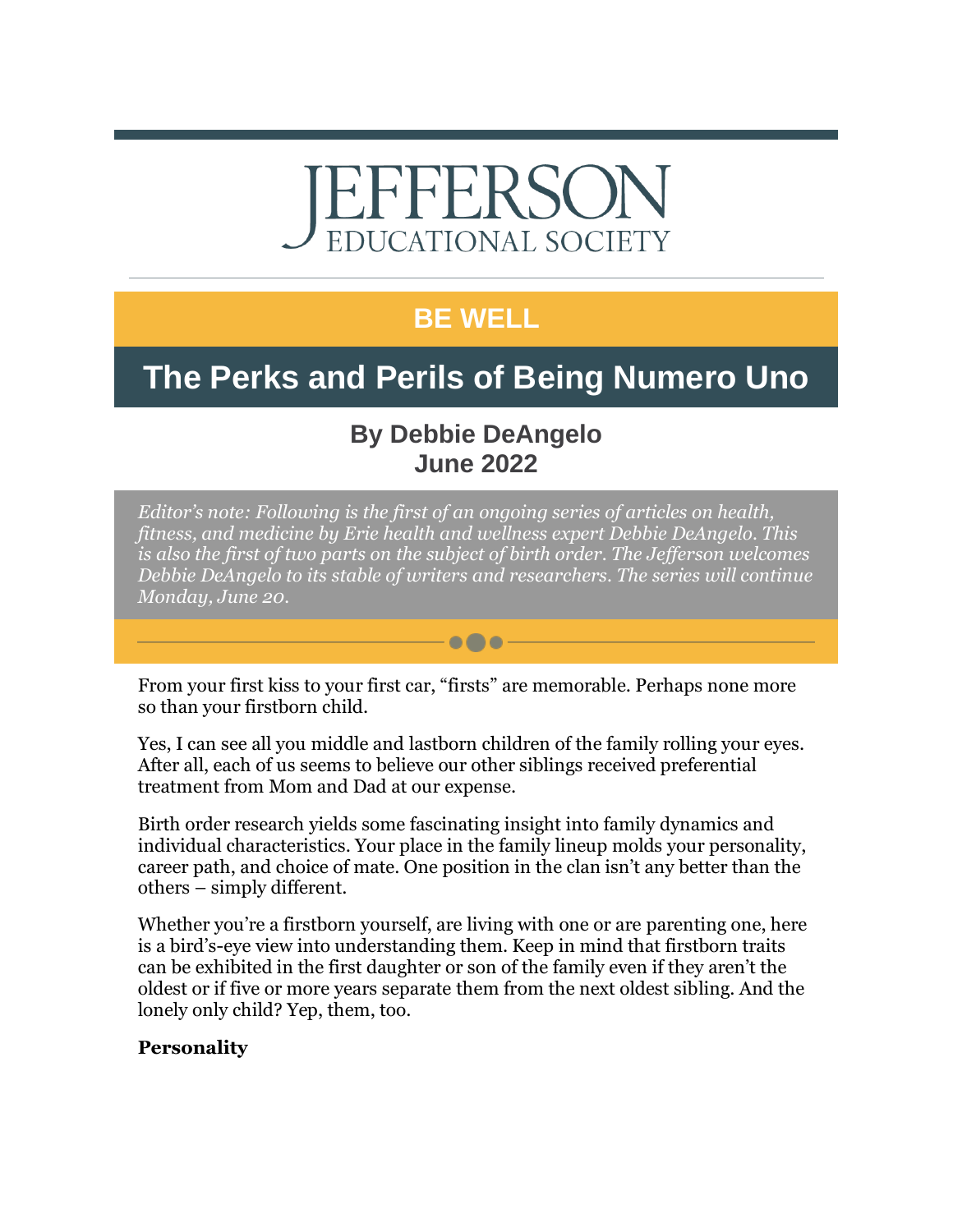# EFFERSO **EDUCATIONAL SOCIETY**

### **BE WELL**

## **The Perks and Perils of Being Numero Uno**

### **By Debbie DeAngelo June 2022**

*Editor's note: Following is the first of an ongoing series of articles on health, fitness, and medicine by Erie health and wellness expert Debbie DeAngelo. This is also the first of two parts on the subject of birth order. The Jefferson welcomes Debbie DeAngelo to its stable of writers and researchers. The series will continue Monday, June 20.*

From your first kiss to your first car, "firsts" are memorable. Perhaps none more so than your firstborn child.

 $\bullet\bullet\bullet$ 

Yes, I can see all you middle and lastborn children of the family rolling your eyes. After all, each of us seems to believe our other siblings received preferential treatment from Mom and Dad at our expense.

Birth order research yields some fascinating insight into family dynamics and individual characteristics. Your place in the family lineup molds your personality, career path, and choice of mate. One position in the clan isn't any better than the others – simply different.

Whether you're a firstborn yourself, are living with one or are parenting one, here is a bird's-eye view into understanding them. Keep in mind that firstborn traits can be exhibited in the first daughter or son of the family even if they aren't the oldest or if five or more years separate them from the next oldest sibling. And the lonely only child? Yep, them, too.

#### **Personality**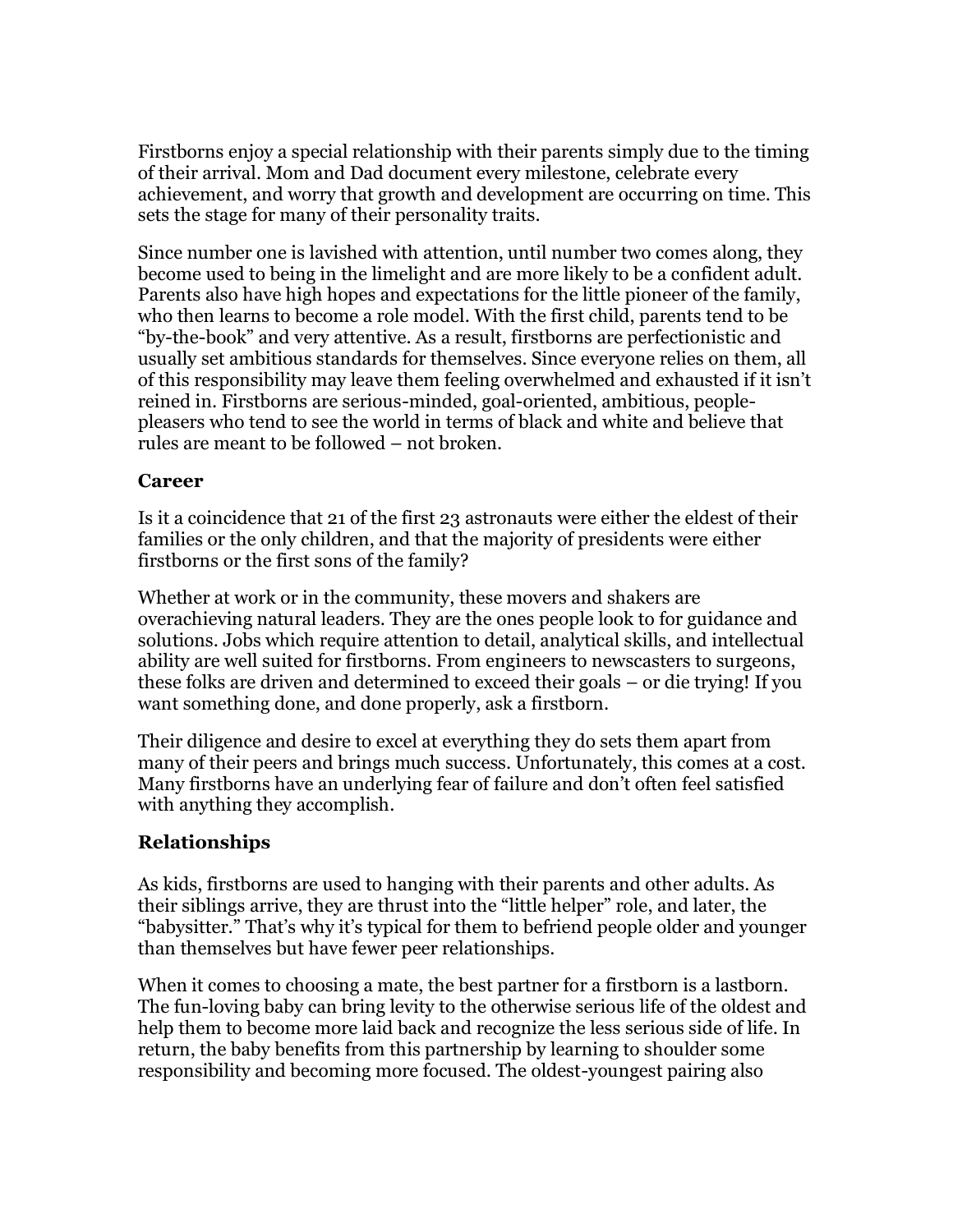Firstborns enjoy a special relationship with their parents simply due to the timing of their arrival. Mom and Dad document every milestone, celebrate every achievement, and worry that growth and development are occurring on time. This sets the stage for many of their personality traits.

Since number one is lavished with attention, until number two comes along, they become used to being in the limelight and are more likely to be a confident adult. Parents also have high hopes and expectations for the little pioneer of the family, who then learns to become a role model. With the first child, parents tend to be "by-the-book" and very attentive. As a result, firstborns are perfectionistic and usually set ambitious standards for themselves. Since everyone relies on them, all of this responsibility may leave them feeling overwhelmed and exhausted if it isn't reined in. Firstborns are serious-minded, goal-oriented, ambitious, peoplepleasers who tend to see the world in terms of black and white and believe that rules are meant to be followed – not broken.

#### **Career**

Is it a coincidence that 21 of the first 23 astronauts were either the eldest of their families or the only children, and that the majority of presidents were either firstborns or the first sons of the family?

Whether at work or in the community, these movers and shakers are overachieving natural leaders. They are the ones people look to for guidance and solutions. Jobs which require attention to detail, analytical skills, and intellectual ability are well suited for firstborns. From engineers to newscasters to surgeons, these folks are driven and determined to exceed their goals – or die trying! If you want something done, and done properly, ask a firstborn.

Their diligence and desire to excel at everything they do sets them apart from many of their peers and brings much success. Unfortunately, this comes at a cost. Many firstborns have an underlying fear of failure and don't often feel satisfied with anything they accomplish.

#### **Relationships**

As kids, firstborns are used to hanging with their parents and other adults. As their siblings arrive, they are thrust into the "little helper" role, and later, the "babysitter." That's why it's typical for them to befriend people older and younger than themselves but have fewer peer relationships.

When it comes to choosing a mate, the best partner for a firstborn is a lastborn. The fun-loving baby can bring levity to the otherwise serious life of the oldest and help them to become more laid back and recognize the less serious side of life. In return, the baby benefits from this partnership by learning to shoulder some responsibility and becoming more focused. The oldest-youngest pairing also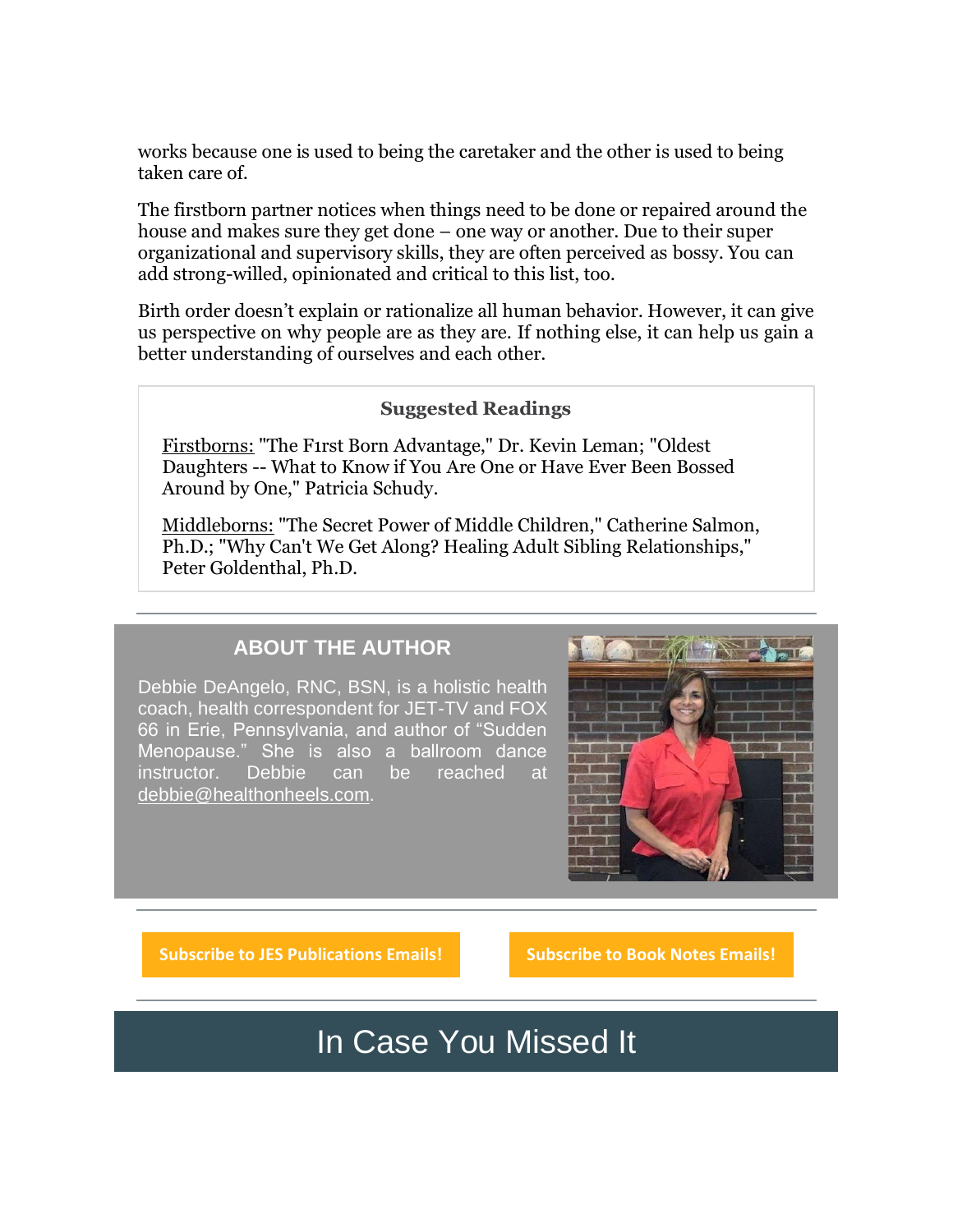works because one is used to being the caretaker and the other is used to being taken care of.

The firstborn partner notices when things need to be done or repaired around the house and makes sure they get done – one way or another. Due to their super organizational and supervisory skills, they are often perceived as bossy. You can add strong-willed, opinionated and critical to this list, too.

Birth order doesn't explain or rationalize all human behavior. However, it can give us perspective on why people are as they are. If nothing else, it can help us gain a better understanding of ourselves and each other.

#### **Suggested Readings**

Firstborns: "The F1rst Born Advantage," Dr. Kevin Leman; "Oldest Daughters -- What to Know if You Are One or Have Ever Been Bossed Around by One," Patricia Schudy.

Middleborns: "The Secret Power of Middle Children," Catherine Salmon, Ph.D.; "Why Can't We Get Along? Healing Adult Sibling Relationships," Peter Goldenthal, Ph.D.

#### **ABOUT THE AUTHOR**

Debbie DeAngelo, RNC, BSN, is a holistic health coach, health correspondent for JET-TV and FOX 66 in Erie, Pennsylvania, and author of "Sudden Menopause." She is also a ballroom dance instructor. Debbie can be reached at [debbie@healthonheels.com.](mailto:debbie@healthonheels.com)



**[Subscribe to JES Publications Emails!](https://r20.rs6.net/tn.jsp?f=0016ad850y8HsYFtz6t7Kvce4tyqEDGI1Y_UvPjt_JewQTa9ujVgVIalB0aPGRa3t9c7wSHesrJ2cy45Nj5w3A0v0HwxWjjU3VfQu6zmFRTUQ3TQ_RdJH54fUYgRpr7XMF6Mj8VR40b2dK92q-RjmMJ0VDejVAKGeS7l2Qdnjz97sQ0AATeyMpHJhtT03xuJ6NK0CsPtPXB8VrNKN-mTfVCEy1VV6vx6xABTdk1P-p96XFEvB0ftxAvP35cHzihWEP8Dn7of8Oh9OVtKm_vV9eIAeqvlPTDPiRSDASrMZEjqOQw_IBeRd31nu9PFqj8VG-yvt1qXLBtGIGO3ZXNqCkw0-Di_ktJyadVagmxlT0NPuE=&c=jFs-K3CCBUgtcq8po9tF29KMu08Ux7F08X2sbFeXyIIDj2rKwaVZaQ==&ch=h3xvYUZ8uJdT0Cq8mKDqktmSG2EmYxeKD94738b-sSWqgvxRetyKAg==) [Subscribe to Book Notes Emails!](https://r20.rs6.net/tn.jsp?f=0016ad850y8HsYFtz6t7Kvce4tyqEDGI1Y_UvPjt_JewQTa9ujVgVIalB0aPGRa3t9cDq1EvuU3KpcXY5VI-Y0nR3Xx3c8sQuAXutOjg5inTMAy50Dficqs1EtiTQXrmbahNVHDOViPXtJD6eBr_0QxXcmxLkEOTADsDYmE_ZYbzDKABSePVVHAX7J3YikutfAguKnk8e_IKVmkJe2raboxvgGeuC2AUUIFpCXRzAnIZv9BOOLTUYOoGllxKs7k04bDiwdVas79MXTPvhtD7pfbZYNt3a7YS4mYGQFXOVu2rXMh74zq4pVwJSau1V0gW4znnP1K_JnP51eKs7bKsUyXHxTGSCRYGGeN6U3-tZSW2Jk=&c=jFs-K3CCBUgtcq8po9tF29KMu08Ux7F08X2sbFeXyIIDj2rKwaVZaQ==&ch=h3xvYUZ8uJdT0Cq8mKDqktmSG2EmYxeKD94738b-sSWqgvxRetyKAg==)**

In Case You Missed It